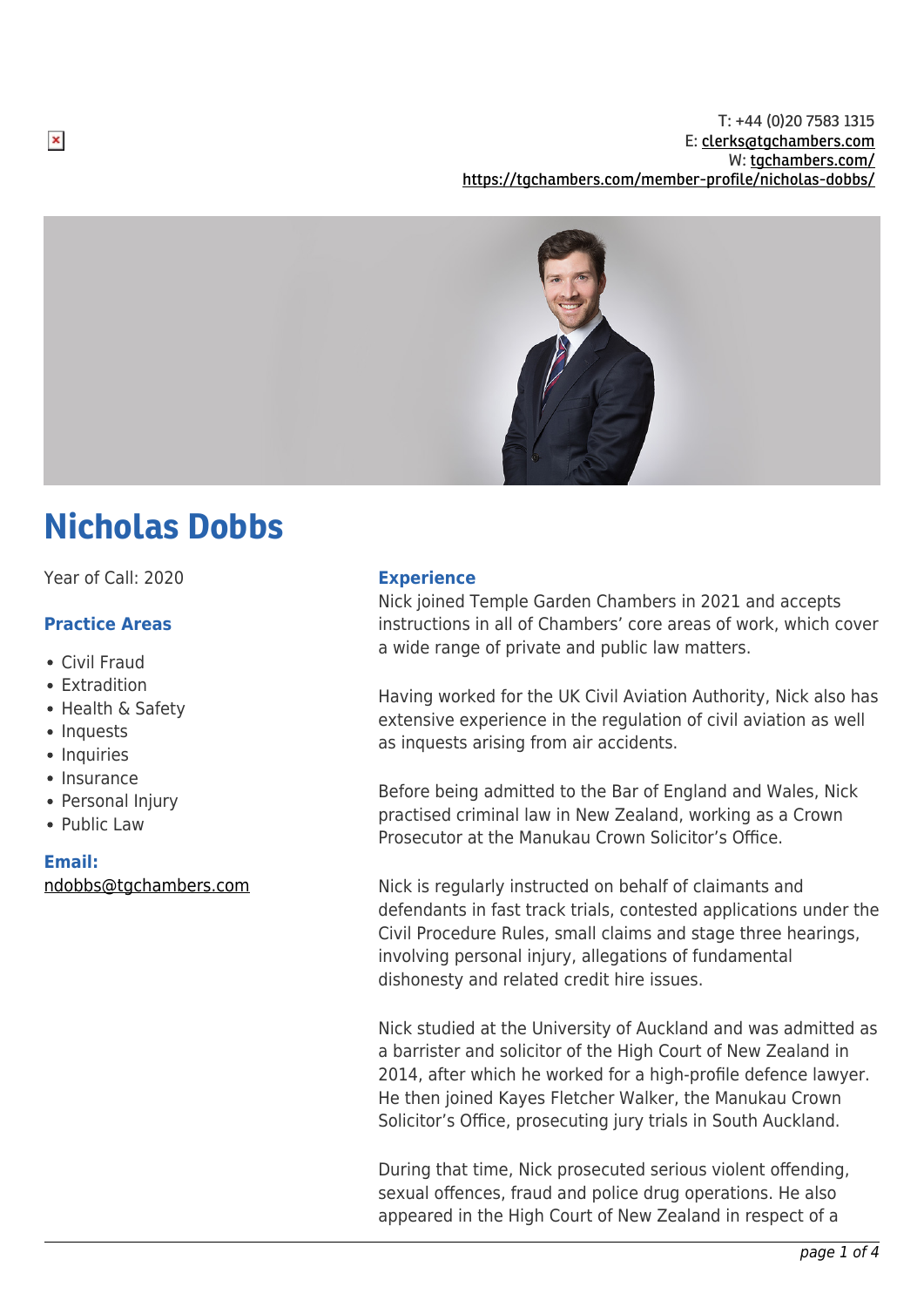

# Nicholas Dobbs

Year of Call: 2020

# **Practice Areas**

- Civil Fraud
- Extradition
- Health & Safety
- Inquests
- Inquiries
- Insurance
- Personal Injury
- Public Law

#### **Email:**

[ndobbs@tgchambers.com](mailto:ndobbs@tgchambers.com)

#### **Experience**

Nick joined Temple Garden Chambers in 2021 and accepts instructions in all of Chambers' core areas of work, which cover a wide range of private and public law matters.

Having worked for the UK Civil Aviation Authority, Nick also has extensive experience in the regulation of civil aviation as well as inquests arising from air accidents.

Before being admitted to the Bar of England and Wales, Nick practised criminal law in New Zealand, working as a Crown Prosecutor at the Manukau Crown Solicitor's Office.

Nick is regularly instructed on behalf of claimants and defendants in fast track trials, contested applications under the Civil Procedure Rules, small claims and stage three hearings, involving personal injury, allegations of fundamental dishonesty and related credit hire issues.

Nick studied at the University of Auckland and was admitted as a barrister and solicitor of the High Court of New Zealand in 2014, after which he worked for a high-profile defence lawyer. He then joined Kayes Fletcher Walker, the Manukau Crown Solicitor's Office, prosecuting jury trials in South Auckland.

During that time, Nick prosecuted serious violent offending, sexual offences, fraud and police drug operations. He also appeared in the High Court of New Zealand in respect of a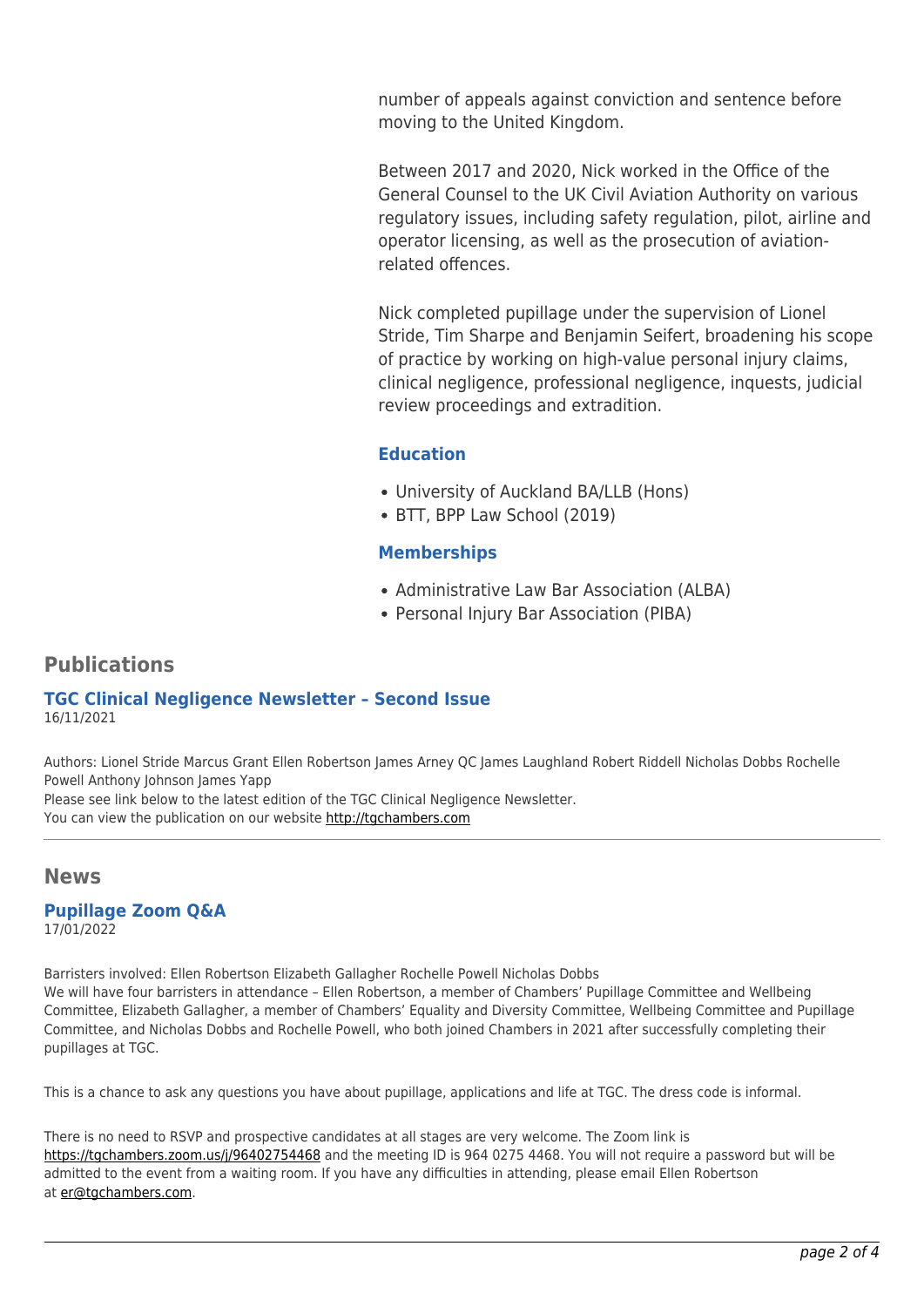number of appeals against conviction and sentence before moving to the United Kingdom.

Between 2017 and 2020, Nick worked in the Office of the General Counsel to the UK Civil Aviation Authority on various regulatory issues, including safety regulation, pilot, airline and operator licensing, as well as the prosecution of aviationrelated offences.

Nick completed pupillage under the supervision of Lionel Stride, Tim Sharpe and Benjamin Seifert, broadening his scope of practice by working on high-value personal injury claims, clinical negligence, professional negligence, inquests, judicial review proceedings and extradition.

# **Education**

- University of Auckland BA/LLB (Hons)
- BTT, BPP Law School (2019)

# **Memberships**

- Administrative Law Bar Association (ALBA)
- Personal Injury Bar Association (PIBA)

# **Publications**

#### **TGC Clinical Negligence Newsletter – Second Issue** 16/11/2021

Authors: Lionel Stride Marcus Grant Ellen Robertson James Arney QC James Laughland Robert Riddell Nicholas Dobbs Rochelle Powell Anthony Johnson James Yapp Please see link below to the latest edition of the TGC Clinical Negligence Newsletter. You can view the publication on our website [http://tgchambers.com](https://tgchambers.com/wp-content/uploads/2021/11/TGC073_Clin_Neg_Newsletter_Issue2_v3.pdf)

### **News**

**Pupillage Zoom Q&A** 17/01/2022

Barristers involved: Ellen Robertson Elizabeth Gallagher Rochelle Powell Nicholas Dobbs We will have four barristers in attendance – Ellen Robertson, a member of Chambers' Pupillage Committee and Wellbeing Committee, Elizabeth Gallagher, a member of Chambers' Equality and Diversity Committee, Wellbeing Committee and Pupillage Committee, and Nicholas Dobbs and Rochelle Powell, who both joined Chambers in 2021 after successfully completing their pupillages at TGC.

This is a chance to ask any questions you have about pupillage, applications and life at TGC. The dress code is informal.

There is no need to RSVP and prospective candidates at all stages are very welcome. The Zoom link is <https://tgchambers.zoom.us/j/96402754468>and the meeting ID is 964 0275 4468. You will not require a password but will be admitted to the event from a waiting room. If you have any difficulties in attending, please email Ellen Robertson at [er@tgchambers.com.](mailto:er@tgchambers.com)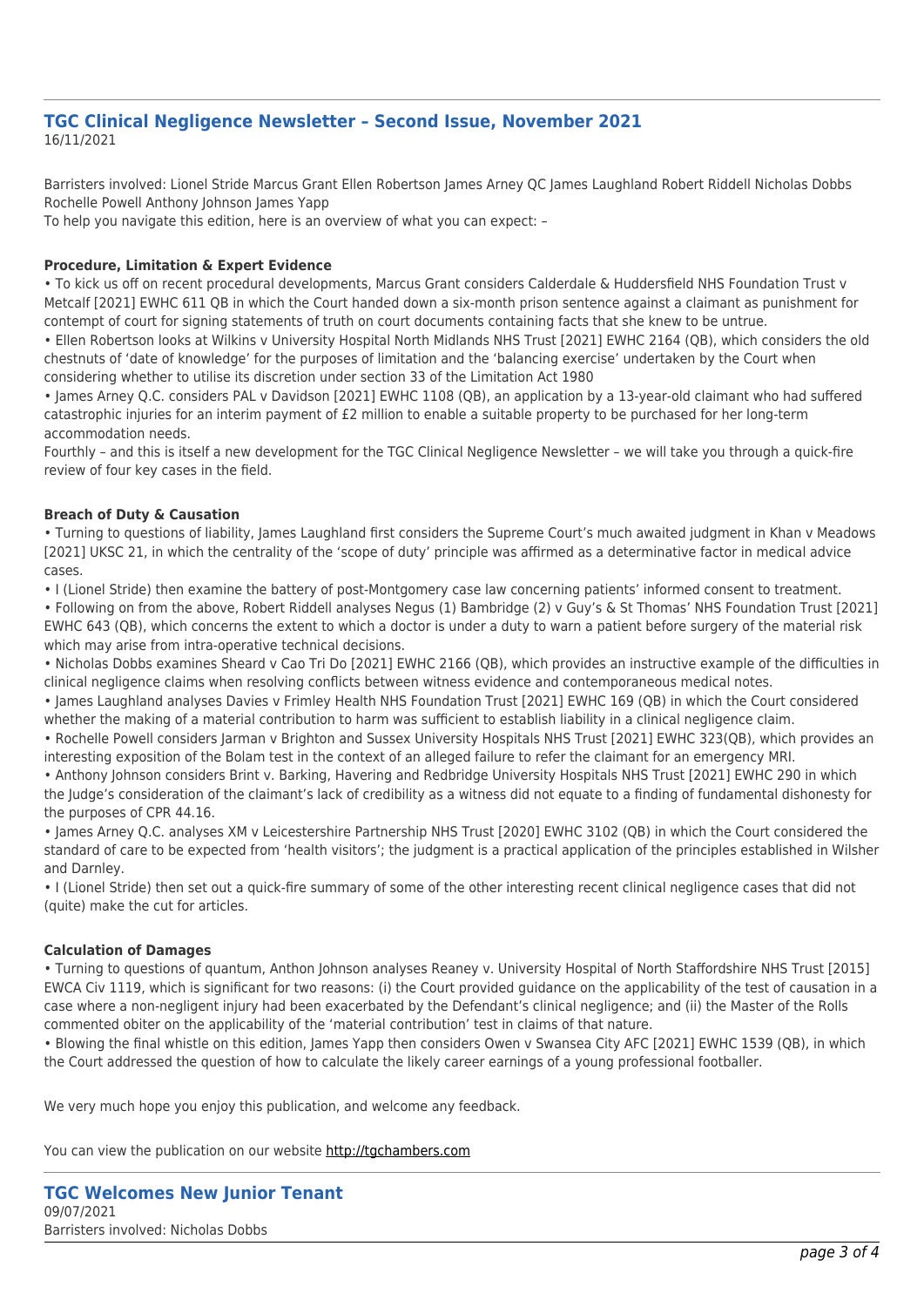#### **TGC Clinical Negligence Newsletter – Second Issue, November 2021** 16/11/2021

Barristers involved: Lionel Stride Marcus Grant Ellen Robertson James Arney QC James Laughland Robert Riddell Nicholas Dobbs Rochelle Powell Anthony Johnson James Yapp

To help you navigate this edition, here is an overview of what you can expect: –

#### **Procedure, Limitation & Expert Evidence**

• To kick us off on recent procedural developments, Marcus Grant considers Calderdale & Huddersfield NHS Foundation Trust v Metcalf [2021] EWHC 611 QB in which the Court handed down a six-month prison sentence against a claimant as punishment for contempt of court for signing statements of truth on court documents containing facts that she knew to be untrue.

• Ellen Robertson looks at Wilkins v University Hospital North Midlands NHS Trust [2021] EWHC 2164 (QB), which considers the old chestnuts of 'date of knowledge' for the purposes of limitation and the 'balancing exercise' undertaken by the Court when considering whether to utilise its discretion under section 33 of the Limitation Act 1980

• James Arney Q.C. considers PAL v Davidson [2021] EWHC 1108 (QB), an application by a 13-year-old claimant who had suffered catastrophic injuries for an interim payment of £2 million to enable a suitable property to be purchased for her long-term accommodation needs.

Fourthly – and this is itself a new development for the TGC Clinical Negligence Newsletter – we will take you through a quick-fire review of four key cases in the field.

#### **Breach of Duty & Causation**

• Turning to questions of liability, James Laughland first considers the Supreme Court's much awaited judgment in Khan v Meadows [2021] UKSC 21, in which the centrality of the 'scope of duty' principle was affirmed as a determinative factor in medical advice cases.

• I (Lionel Stride) then examine the battery of post-Montgomery case law concerning patients' informed consent to treatment.

• Following on from the above, Robert Riddell analyses Negus (1) Bambridge (2) v Guy's & St Thomas' NHS Foundation Trust [2021] EWHC 643 (QB), which concerns the extent to which a doctor is under a duty to warn a patient before surgery of the material risk which may arise from intra-operative technical decisions.

• Nicholas Dobbs examines Sheard v Cao Tri Do [2021] EWHC 2166 (QB), which provides an instructive example of the difficulties in clinical negligence claims when resolving conflicts between witness evidence and contemporaneous medical notes.

• James Laughland analyses Davies v Frimley Health NHS Foundation Trust [2021] EWHC 169 (QB) in which the Court considered whether the making of a material contribution to harm was sufficient to establish liability in a clinical negligence claim.

• Rochelle Powell considers Jarman v Brighton and Sussex University Hospitals NHS Trust [2021] EWHC 323(QB), which provides an interesting exposition of the Bolam test in the context of an alleged failure to refer the claimant for an emergency MRI.

• Anthony Johnson considers Brint v. Barking, Havering and Redbridge University Hospitals NHS Trust [2021] EWHC 290 in which the Judge's consideration of the claimant's lack of credibility as a witness did not equate to a finding of fundamental dishonesty for the purposes of CPR 44.16.

• James Arney Q.C. analyses XM v Leicestershire Partnership NHS Trust [2020] EWHC 3102 (QB) in which the Court considered the standard of care to be expected from 'health visitors'; the judgment is a practical application of the principles established in Wilsher and Darnley.

• I (Lionel Stride) then set out a quick-fire summary of some of the other interesting recent clinical negligence cases that did not (quite) make the cut for articles.

#### **Calculation of Damages**

• Turning to questions of quantum, Anthon Johnson analyses Reaney v. University Hospital of North Staffordshire NHS Trust [2015] EWCA Civ 1119, which is significant for two reasons: (i) the Court provided guidance on the applicability of the test of causation in a case where a non-negligent injury had been exacerbated by the Defendant's clinical negligence; and (ii) the Master of the Rolls commented obiter on the applicability of the 'material contribution' test in claims of that nature.

• Blowing the final whistle on this edition, James Yapp then considers Owen v Swansea City AFC [2021] EWHC 1539 (QB), in which the Court addressed the question of how to calculate the likely career earnings of a young professional footballer.

We very much hope you enjoy this publication, and welcome any feedback.

You can view the publication on our website [http://tgchambers.com](https://tgchambers.com/wp-content/uploads/2021/11/TGC073_Clin_Neg_Newsletter_Issue2_v3.pdf)

**TGC Welcomes New Junior Tenant** 09/07/2021 Barristers involved: Nicholas Dobbs